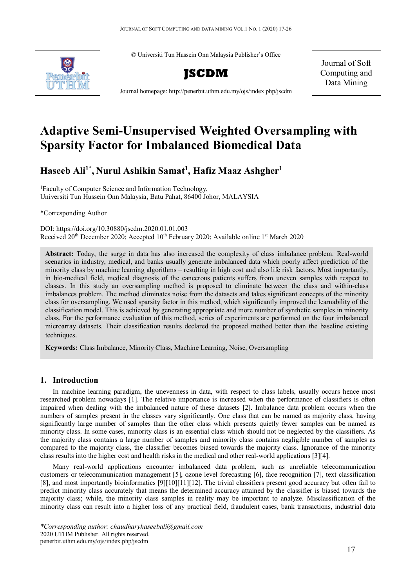© Universiti Tun Hussein Onn Malaysia Publisher's Office





Journal of Soft Computing and Data Mining

Journal homepage: http://penerbit.uthm.edu.my/ojs/index.php/jscdm

# **Adaptive Semi-Unsupervised Weighted Oversampling with Sparsity Factor for Imbalanced Biomedical Data**

# **Haseeb Ali1\* , Nurul Ashikin Samat1 , Hafiz Maaz Ashgher1**

1 Faculty of Computer Science and Information Technology, Universiti Tun Hussein Onn Malaysia, Batu Pahat, 86400 Johor, MALAYSIA

\*Corresponding Author

DOI: https://doi.org/10.30880/jscdm.2020.01.01.003 Received  $20<sup>th</sup>$  December 2020; Accepted  $10<sup>th</sup>$  February 2020; Available online  $1<sup>st</sup>$  March 2020

**Abstract:** Today, the surge in data has also increased the complexity of class imbalance problem. Real-world scenarios in industry, medical, and banks usually generate imbalanced data which poorly affect prediction of the minority class by machine learning algorithms – resulting in high cost and also life risk factors. Most importantly, in bio-medical field, medical diagnosis of the cancerous patients suffers from uneven samples with respect to classes. In this study an oversampling method is proposed to eliminate between the class and within-class imbalances problem. The method eliminates noise from the datasets and takes significant concepts of the minority class for oversampling. We used sparsity factor in this method, which significantly improved the learnability of the classification model. This is achieved by generating appropriate and more number of synthetic samples in minority class. For the performance evaluation of this method, series of experiments are performed on the four imbalanced microarray datasets. Their classification results declared the proposed method better than the baseline existing techniques.

**Keywords:** Class Imbalance, Minority Class, Machine Learning, Noise, Oversampling

# **1. Introduction**

In machine learning paradigm, the unevenness in data, with respect to class labels, usually occurs hence most researched problem nowadays [1]. The relative importance is increased when the performance of classifiers is often impaired when dealing with the imbalanced nature of these datasets [2]. Imbalance data problem occurs when the numbers of samples present in the classes vary significantly. One class that can be named as majority class, having significantly large number of samples than the other class which presents quietly fewer samples can be named as minority class. In some cases, minority class is an essential class which should not be neglected by the classifiers. As the majority class contains a large number of samples and minority class contains negligible number of samples as compared to the majority class, the classifier becomes biased towards the majority class. Ignorance of the minority class results into the higher cost and health risks in the medical and other real-world applications [3][4].

Many real-world applications encounter imbalanced data problem, such as unreliable telecommunication customers or telecommunication management [5], ozone level forecasting [6], face recognition [7], text classification [8], and most importantly bioinformatics [9][10][11][12]. The trivial classifiers present good accuracy but often fail to predict minority class accurately that means the determined accuracy attained by the classifier is biased towards the majority class; while, the minority class samples in reality may be important to analyze. Misclassification of the minority class can result into a higher loss of any practical field, fraudulent cases, bank transactions, industrial data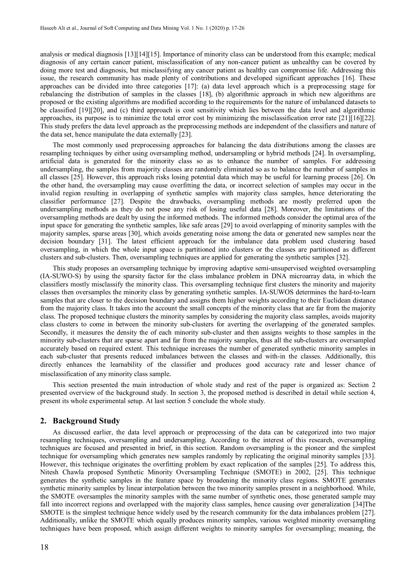analysis or medical diagnosis [13][14][15]. Importance of minority class can be understood from this example; medical diagnosis of any certain cancer patient, misclassification of any non-cancer patient as unhealthy can be covered by doing more test and diagnosis, but misclassifying any cancer patient as healthy can compromise life. Addressing this issue, the research community has made plenty of contributions and developed significant approaches [16]. These approaches can be divided into three categories [17]: (a) data level approach which is a preprocessing stage for rebalancing the distribution of samples in the classes [18], (b) algorithmic approach in which new algorithms are proposed or the existing algorithms are modified according to the requirements for the nature of imbalanced datasets to be classified [19][20], and (c) third approach is cost sensitivity which lies between the data level and algorithmic approaches, its purpose is to minimize the total error cost by minimizing the misclassification error rate [21][16][22]. This study prefers the data level approach as the preprocessing methods are independent of the classifiers and nature of the data set, hence manipulate the data externally [23].

The most commonly used preprocessing approaches for balancing the data distributions among the classes are resampling techniques by either using oversampling method, undersampling or hybrid methods [24]. In oversampling, artificial data is generated for the minority class so as to enhance the number of samples. For addressing undersampling, the samples from majority classes are randomly eliminated so as to balance the number of samples in all classes [25]. However, this approach risks losing potential data which may be useful for learning process [26]. On the other hand, the oversampling may cause overfitting the data, or incorrect selection of samples may occur in the invalid region resulting in overlapping of synthetic samples with majority class samples, hence deteriorating the classifier performance [27]. Despite the drawbacks, oversampling methods are mostly preferred upon the undersampling methods as they do not pose any risk of losing useful data [28]. Moreover, the limitations of the oversampling methods are dealt by using the informed methods. The informed methods consider the optimal area of the input space for generating the synthetic samples, like safe areas [29] to avoid overlapping of minority samples with the majority samples, sparse areas [30], which avoids generating noise among the data or generated new samples near the decision boundary [31]. The latest efficient approach for the imbalance data problem used clustering based oversampling, in which the whole input space is partitioned into clusters or the classes are partitioned as different clusters and sub-clusters. Then, oversampling techniques are applied for generating the synthetic samples [32].

This study proposes an oversampling technique by improving adaptive semi-unsupervised weighted oversampling (IA-SUWO-S) by using the sparsity factor for the class imbalance problem in DNA microarray data, in which the classifiers mostly misclassify the minority class. This oversampling technique first clusters the minority and majority classes then oversamples the minority class by generating synthetic samples. IA-SUWOS determines the hard-to-learn samples that are closer to the decision boundary and assigns them higher weights according to their Euclidean distance from the majority class. It takes into the account the small concepts of the minority class that are far from the majority class. The proposed technique clusters the minority samples by considering the majority class samples, avoids majority class clusters to come in between the minority sub-clusters for averting the overlapping of the generated samples. Secondly, it measures the density the of each minority sub-cluster and then assigns weights to those samples in the minority sub-clusters that are sparse apart and far from the majority samples, thus all the sub-clusters are oversampled accurately based on required extent. This technique increases the number of generated synthetic minority samples in each sub-cluster that presents reduced imbalances between the classes and with-in the classes. Additionally, this directly enhances the learnability of the classifier and produces good accuracy rate and lesser chance of misclassification of any minority class sample.

This section presented the main introduction of whole study and rest of the paper is organized as: Section 2 presented overview of the background study. In section 3, the proposed method is described in detail while section 4, present its whole experimental setup. At last section 5 conclude the whole study.

#### **2. Background Study**

As discussed earlier, the data level approach or preprocessing of the data can be categorized into two major resampling techniques, oversampling and undersampling. According to the interest of this research, oversampling techniques are focused and presented in brief, in this section. Random oversampling is the pioneer and the simplest technique for oversampling which generates new samples randomly by replicating the original minority samples [33]. However, this technique originates the overfitting problem by exact replication of the samples [25]. To address this, Nitesh Chawla proposed Synthetic Minority Oversampling Technique (SMOTE) in 2002, [25]. This technique generates the synthetic samples in the feature space by broadening the minority class regions. SMOTE generates synthetic minority samples by linear interpolation between the two minority samples present in a neighborhood. While, the SMOTE oversamples the minority samples with the same number of synthetic ones, those generated sample may fall into incorrect regions and overlapped with the majority class samples, hence causing over generalization [34]The SMOTE is the simplest technique hence widely used by the research community for the data imbalances problem [27]. Additionally, unlike the SMOTE which equally produces minority samples, various weighted minority oversampling techniques have been proposed, which assign different weights to minority samples for oversampling; meaning, the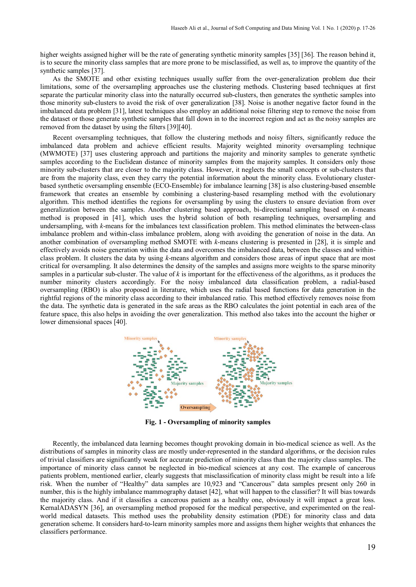higher weights assigned higher will be the rate of generating synthetic minority samples [35] [36]. The reason behind it, is to secure the minority class samples that are more prone to be misclassified, as well as, to improve the quantity of the synthetic samples [37].

As the SMOTE and other existing techniques usually suffer from the over-generalization problem due their limitations, some of the oversampling approaches use the clustering methods. Clustering based techniques at first separate the particular minority class into the naturally occurred sub-clusters, then generates the synthetic samples into those minority sub-clusters to avoid the risk of over generalization [38]. Noise is another negative factor found in the imbalanced data problem [31], latest techniques also employ an additional noise filtering step to remove the noise from the dataset or those generate synthetic samples that fall down in to the incorrect region and act as the noisy samples are removed from the dataset by using the filters [39][40].

Recent oversampling techniques, that follow the clustering methods and noisy filters, significantly reduce the imbalanced data problem and achieve efficient results. Majority weighted minority oversampling technique (MWMOTE) [37] uses clustering approach and partitions the majority and minority samples to generate synthetic samples according to the Euclidean distance of minority samples from the majority samples. It considers only those minority sub-clusters that are closer to the majority class. However, it neglects the small concepts or sub-clusters that are from the majority class, even they carry the potential information about the minority class. Evolutionary clusterbased synthetic oversampling ensemble (ECO-Ensemble) for imbalance learning [38] is also clustering-based ensemble framework that creates an ensemble by combining a clustering-based resampling method with the evolutionary algorithm. This method identifies the regions for oversampling by using the clusters to ensure deviation from over generalization between the samples. Another clustering based approach, bi-directional sampling based on *k*-means method is proposed in [41], which uses the hybrid solution of both resampling techniques, oversampling and undersampling, with *k*-means for the imbalances text classification problem. This method eliminates the between-class imbalance problem and within-class imbalance problem, along with avoiding the generation of noise in the data. An another combination of oversampling method SMOTE with *k*-means clustering is presented in [28], it is simple and effectively avoids noise generation within the data and overcomes the imbalanced data, between the classes and withinclass problem. It clusters the data by using *k*-means algorithm and considers those areas of input space that are most critical for oversampling. It also determines the density of the samples and assigns more weights to the sparse minority samples in a particular sub-cluster. The value of *k* is important for the effectiveness of the algorithms, as it produces the number minority clusters accordingly. For the noisy imbalanced data classification problem, a radial-based oversampling (RBO) is also proposed in literature, which uses the radial based functions for data generation in the rightful regions of the minority class according to their imbalanced ratio. This method effectively removes noise from the data. The synthetic data is generated in the safe areas as the RBO calculates the joint potential in each area of the feature space, this also helps in avoiding the over generalization. This method also takes into the account the higher or lower dimensional spaces [40].



**Fig. 1 - Oversampling of minority samples**

Recently, the imbalanced data learning becomes thought provoking domain in bio-medical science as well. As the distributions of samples in minority class are mostly under-represented in the standard algorithms, or the decision rules of trivial classifiers are significantly weak for accurate prediction of minority class than the majority class samples. The importance of minority class cannot be neglected in bio-medical sciences at any cost. The example of cancerous patients problem, mentioned earlier, clearly suggests that misclassification of minority class might be result into a life risk. When the number of "Healthy" data samples are 10,923 and "Cancerous" data samples present only 260 in number, this is the highly imbalance mammography dataset [42], what will happen to the classifier? It will bias towards the majority class. And if it classifies a cancerous patient as a healthy one, obviously it will impact a great loss. KernalADASYN [36], an oversampling method proposed for the medical perspective, and experimented on the realworld medical datasets. This method uses the probability density estimation (PDE) for minority class and data generation scheme. It considers hard-to-learn minority samples more and assigns them higher weights that enhances the classifiers performance.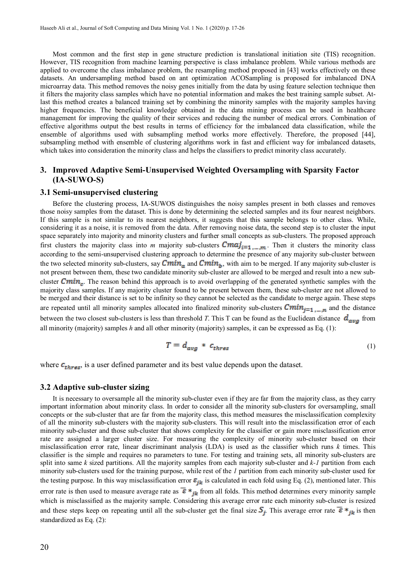Most common and the first step in gene structure prediction is translational initiation site (TIS) recognition. However, TIS recognition from machine learning perspective is class imbalance problem. While various methods are applied to overcome the class imbalance problem, the resampling method proposed in [43] works effectively on these datasets. An undersampling method based on ant optimization ACOSampling is proposed for imbalanced DNA microarray data. This method removes the noisy genes initially from the data by using feature selection technique then it filters the majority class samples which have no potential information and makes the best training sample subset. Atlast this method creates a balanced training set by combining the minority samples with the majority samples having higher frequencies. The beneficial knowledge obtained in the data mining process can be used in healthcare management for improving the quality of their services and reducing the number of medical errors. Combination of effective algorithms output the best results in terms of efficiency for the imbalanced data classification, while the ensemble of algorithms used with subsampling method works more effectively. Therefore, the proposed [44], subsampling method with ensemble of clustering algorithms work in fast and efficient way for imbalanced datasets, which takes into consideration the minority class and helps the classifiers to predict minority class accurately.

# **3. Improved Adaptive Semi-Unsupervised Weighted Oversampling with Sparsity Factor (IA-SUWO-S)**

#### **3.1 Semi-unsupervised clustering**

Before the clustering process, IA-SUWOS distinguishes the noisy samples present in both classes and removes those noisy samples from the dataset. This is done by determining the selected samples and its four nearest neighbors. If this sample is not similar to its nearest neighbors, it suggests that this sample belongs to other class. While, considering it as a noise, it is removed from the data. After removing noise data, the second step is to cluster the input space separately into majority and minority clusters and further small concepts as sub-clusters. The proposed approach first clusters the majority class into *m* majority sub-clusters  $Cmaj_{i=1,\ldots,m}$ . Then it clusters the minority class according to the semi-unsupervised clustering approach to determine the presence of any majority sub-cluster between the two selected minority sub-clusters, say  $Cmin_a$  and  $Cmin_b$ , with aim to be merged. If any majority sub-cluster is not present between them, these two candidate minority sub-cluster are allowed to be merged and result into a new subcluster  $Cmin_{\pi}$ . The reason behind this approach is to avoid overlapping of the generated synthetic samples with the majority class samples. If any majority cluster found to be present between them, these sub-cluster are not allowed to be merged and their distance is set to be infinity so they cannot be selected as the candidate to merge again. These steps are repeated until all minority samples allocated into finalized minority sub-clusters  $Cmin_{j=1,\dots,n}$  and the distance between the two closest sub-clusters is less than threshold *T*. This T can be found as the Euclidean distance  $d_{avg}$  from all minority (majority) samples *h* and all other minority (majority) samples, it can be expressed as Eq. (1):

$$
T = d_{avg} * c_{thres} \tag{1}
$$

where  $\mathbf{c}_{thres}$ , is a user defined parameter and its best value depends upon the dataset.

#### **3.2 Adaptive sub-cluster sizing**

It is necessary to oversample all the minority sub-cluster even if they are far from the majority class, as they carry important information about minority class. In order to consider all the minority sub-clusters for oversampling, small concepts or the sub-cluster that are far from the majority class, this method measures the misclassification complexity of all the minority sub-clusters with the majority sub-clusters. This will result into the misclassification error of each minority sub-cluster and those sub-cluster that shows complexity for the classifier or gain more misclassification error rate are assigned a larger cluster size. For measuring the complexity of minority sub-cluster based on their misclassification error rate, linear discriminant analysis (LDA) is used as the classifier which runs *k* times. This classifier is the simple and requires no parameters to tune. For testing and training sets, all minority sub-clusters are split into same *k* sized partitions. All the majority samples from each majority sub-cluster and *k-1* partition from each minority sub-clusters used for the training purpose, while rest of the *1* partition from each minority sub-cluster used for the testing purpose. In this way misclassification error  $\varepsilon_{jk}$  is calculated in each fold using Eq. (2), mentioned later. This error rate is then used to measure average rate as  $\overline{\epsilon} *_{ik}$  from all folds. This method determines every minority sample which is misclassified as the majority sample. Considering this average error rate each minority sub-cluster is resized and these steps keep on repeating until all the sub-cluster get the final size  $S_i$ . This average error rate  $\overline{\epsilon} *_{jk}$  is then standardized as Eq. (2):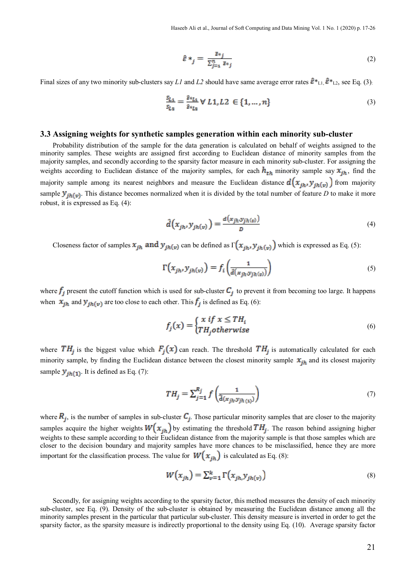$$
\hat{\varepsilon} *_{j} = \frac{\bar{\varepsilon} *_{j}}{\sum_{j=1}^{n} \bar{\varepsilon} *_{j}} \tag{2}
$$

Final sizes of any two minority sub-clusters say *L1* and *L2* should have same average error rates  $\hat{\epsilon}^*$ <sub>L1</sub>,  $\hat{\epsilon}^*$ <sub>L2</sub>, see Eq. (3):

$$
\frac{S_{L1}}{S_{L2}} = \frac{\hat{z} *_{L1}}{\hat{z} *_{L2}} \forall L1, L2 \in \{1, ..., n\}
$$
\n(3)

#### **3.3 Assigning weights for synthetic samples generation within each minority sub-cluster**

Probability distribution of the sample for the data generation is calculated on behalf of weights assigned to the minority samples. These weights are assigned first according to Euclidean distance of minority samples from the majority samples, and secondly according to the sparsity factor measure in each minority sub-cluster. For assigning the weights according to Euclidean distance of the majority samples, for each  $h_{th}$  minority sample say  $x_{ih}$ , find the majority sample among its nearest neighbors and measure the Euclidean distance  $d(x_{jh}, y_{jh(v)})$  from majority sample  $y_{j h(\nu)}$ . This distance becomes normalized when it is divided by the total number of feature *D* to make it more robust, it is expressed as Eq. (4):

$$
\hat{d}\left(x_{jh}, y_{jh(v)}\right) = \frac{d\left(x_{jh} y_{jh(v)}\right)}{D} \tag{4}
$$

Closeness factor of samples  $x_{jh}$  and  $y_{jh(v)}$  can be defined as  $\Gamma(x_{jh}, y_{jh(v)})$  which is expressed as Eq. (5):

$$
\Gamma\left(x_{jh}, y_{jh(v)}\right) = f_i\left(\frac{1}{\hat{d}(x_{jh} y_{jh(v)})}\right) \tag{5}
$$

where  $f_i$  present the cutoff function which is used for sub-cluster  $C_i$  to prevent it from becoming too large. It happens when  $\mathbf{x}_{jh}$  and  $\mathbf{y}_{jh(\mathbf{v})}$  are too close to each other. This  $f_j$  is defined as Eq. (6):

$$
f_j(x) = \begin{cases} x \text{ if } x \leq TH_i \\ TH_j \text{ otherwise} \end{cases}
$$
 (6)

where  $TH_j$  is the biggest value which  $F_j(x)$  can reach. The threshold  $TH_j$  is automatically calculated for each minority sample, by finding the Euclidean distance between the closest minority sample  $x_{jh}$  and its closest majority sample  $y_{jh(1)}$ . It is defined as Eq. (7):

$$
TH_j = \sum_{j=1}^{R_j} f\left(\frac{1}{\hat{\mathbf{d}}(x_{jh} y_{jh(\mathbf{q})})}\right) \tag{7}
$$

where  $R_i$ , is the number of samples in sub-cluster  $C_i$ . Those particular minority samples that are closer to the majority samples acquire the higher weights  $W(x_{ih})$  by estimating the threshold  $TH_i$ . The reason behind assigning higher weights to these sample according to their Euclidean distance from the majority sample is that those samples which are closer to the decision boundary and majority samples have more chances to be misclassified, hence they are more important for the classification process. The value for  $W(x_{ih})$  is calculated as Eq. (8):

$$
W(x_{jh}) = \sum_{v=1}^{k} \Gamma(x_{jh}, y_{jh(v)})
$$
\n(8)

Secondly, for assigning weights according to the sparsity factor, this method measures the density of each minority sub-cluster, see Eq. (9). Density of the sub-cluster is obtained by measuring the Euclidean distance among all the minority samples present in the particular that particular sub-cluster. This density measure is inverted in order to get the sparsity factor, as the sparsity measure is indirectly proportional to the density using Eq. (10). Average sparsity factor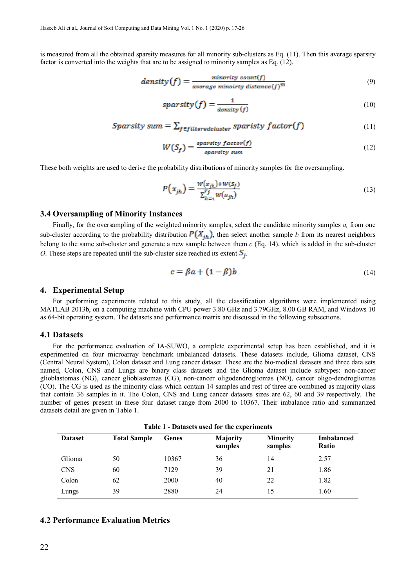is measured from all the obtained sparsity measures for all minority sub-clusters as Eq. (11). Then this average sparsity factor is converted into the weights that are to be assigned to minority samples as Eq. (12).

$$
density(f) = \frac{minority \ count(f)}{average \ minarity \ distance(f)^m}
$$
\n(9)

$$
sparsity(f) = \frac{1}{density(f)}
$$
\n(10)

$$
Sparsity sum = \sum_{f \in filtersedcluster} sparsity factor(f) \tag{11}
$$

$$
W(S_f) = \frac{sparsity\ factor(f)}{sparsity\ sum} \tag{12}
$$

These both weights are used to derive the probability distributions of minority samples for the oversampling.

$$
P(x_{jh}) = \frac{w(x_{jh}) + w(s_f)}{\sum_{h=1}^{r_f} w(x_{jh})}
$$
\n(13)

#### **3.4 Oversampling of Minority Instances**

Finally, for the oversampling of the weighted minority samples, select the candidate minority samples *a,* from one sub-cluster according to the probability distribution  $P(X_{ih})$ , then select another sample *b* from its nearest neighbors belong to the same sub-cluster and generate a new sample between them *c* (Eq. 14), which is added in the sub-cluster *O*. These steps are repeated until the sub-cluster size reached its extent  $S_i$ .

$$
c = \beta a + (1 - \beta)b \tag{14}
$$

#### **4. Experimental Setup**

For performing experiments related to this study, all the classification algorithms were implemented using MATLAB 2013b, on a computing machine with CPU power 3.80 GHz and 3.79GHz, 8.00 GB RAM, and Windows 10 as 64-bit operating system. The datasets and performance matrix are discussed in the following subsections.

#### **4.1 Datasets**

For the performance evaluation of IA-SUWO, a complete experimental setup has been established, and it is experimented on four microarray benchmark imbalanced datasets. These datasets include, Glioma dataset, CNS (Central Neural System), Colon dataset and Lung cancer dataset. These are the bio-medical datasets and three data sets named, Colon, CNS and Lungs are binary class datasets and the Glioma dataset include subtypes: non-cancer glioblastomas (NG), cancer glioblastomas (CG), non-cancer oligodendrogliomas (NO), cancer oligo-dendrogliomas (CO). The CG is used as the minority class which contain 14 samples and rest of three are combined as majority class that contain 36 samples in it. The Colon, CNS and Lung cancer datasets sizes are 62, 60 and 39 respectively. The number of genes present in these four dataset range from 2000 to 10367. Their imbalance ratio and summarized datasets detail are given in Table 1.

**Table 1 - Datasets used for the experiments**

| <b>Dataset</b> | <b>Total Sample</b> | <b>Genes</b> | Majority<br>samples | <b>Minority</b><br>samples | <b>Imbalanced</b><br>Ratio |
|----------------|---------------------|--------------|---------------------|----------------------------|----------------------------|
| Glioma         | 50                  | 10367        | 36                  | 14                         | 2.57                       |
| <b>CNS</b>     | 60                  | 7129         | 39                  | 21                         | 1.86                       |
| Colon          | 62                  | 2000         | 40                  | 22                         | 1.82                       |
| Lungs          | 39                  | 2880         | 24                  | 15                         | 1.60                       |

### **4.2 Performance Evaluation Metrics**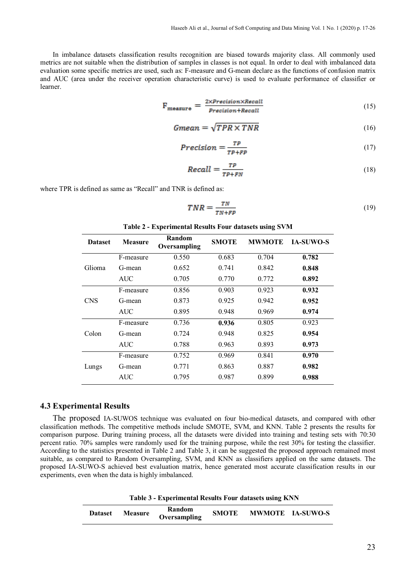In imbalance datasets classification results recognition are biased towards majority class. All commonly used metrics are not suitable when the distribution of samples in classes is not equal. In order to deal with imbalanced data evaluation some specific metrics are used, such as: F-measure and G-mean declare as the functions of confusion matrix and AUC (area under the receiver operation characteristic curve) is used to evaluate performance of classifier or learner.

$$
\mathbf{F}_{\text{measure}} = \frac{2 \times Precision \times Recall}{Precision + Recall} \tag{15}
$$

$$
Gmean = \sqrt{TPR \times TNR} \tag{16}
$$

$$
Precision = \frac{TP}{TP + FP}
$$
 (17)

$$
Recall = \frac{TP}{TP + FN} \tag{18}
$$

where TPR is defined as same as "Recall" and TNR is defined as:

$$
TNR = \frac{TN}{TN + FP} \tag{19}
$$

| <b>Dataset</b> | <b>Measure</b> | Random<br>Oversampling | <b>SMOTE</b> | <b>MWMOTE</b> | <b>IA-SUWO-S</b> |
|----------------|----------------|------------------------|--------------|---------------|------------------|
| Glioma         | F-measure      | 0.550                  | 0.683        | 0.704         | 0.782            |
|                | G-mean         | 0.652                  | 0.741        | 0.842         | 0.848            |
|                | <b>AUC</b>     | 0.705                  | 0.770        | 0.772         | 0.892            |
| <b>CNS</b>     | F-measure      | 0.856                  | 0.903        | 0.923         | 0.932            |
|                | G-mean         | 0.873                  | 0.925        | 0.942         | 0.952            |
|                | <b>AUC</b>     | 0.895                  | 0.948        | 0.969         | 0.974            |
| Colon          | F-measure      | 0.736                  | 0.936        | 0.805         | 0.923            |
|                | G-mean         | 0.724                  | 0.948        | 0.825         | 0.954            |
|                | <b>AUC</b>     | 0.788                  | 0.963        | 0.893         | 0.973            |
| Lungs          | F-measure      | 0.752                  | 0.969        | 0.841         | 0.970            |
|                | G-mean         | 0.771                  | 0.863        | 0.887         | 0.982            |
|                | <b>AUC</b>     | 0.795                  | 0.987        | 0.899         | 0.988            |

**Table 2 - Experimental Results Four datasets using SVM**

#### **4.3 Experimental Results**

The proposed IA-SUWOS technique was evaluated on four bio-medical datasets, and compared with other classification methods. The competitive methods include SMOTE, SVM, and KNN. Table 2 presents the results for comparison purpose. During training process, all the datasets were divided into training and testing sets with 70:30 percent ratio. 70% samples were randomly used for the training purpose, while the rest 30% for testing the classifier. According to the statistics presented in Table 2 and Table 3, it can be suggested the proposed approach remained most suitable, as compared to Random Oversampling, SVM, and KNN as classifiers applied on the same datasets. The proposed IA-SUWO-S achieved best evaluation matrix, hence generated most accurate classification results in our experiments, even when the data is highly imbalanced.

**Table 3 - Experimental Results Four datasets using KNN**

| <b>Dataset</b> | <b>Measure</b> | Random<br>Oversampling | <b>SMOTE</b> |  | <b>MWMOTE IA-SUWO-S</b> |
|----------------|----------------|------------------------|--------------|--|-------------------------|
|----------------|----------------|------------------------|--------------|--|-------------------------|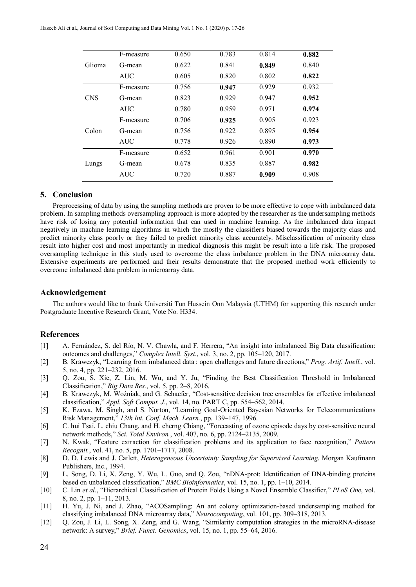| Glioma     | F-measure  | 0.650 | 0.783 | 0.814 | 0.882 |
|------------|------------|-------|-------|-------|-------|
|            | G-mean     | 0.622 | 0.841 | 0.849 | 0.840 |
|            | <b>AUC</b> | 0.605 | 0.820 | 0.802 | 0.822 |
| <b>CNS</b> | F-measure  | 0.756 | 0.947 | 0.929 | 0.932 |
|            | G-mean     | 0.823 | 0.929 | 0.947 | 0.952 |
|            | AUC        | 0.780 | 0.959 | 0.971 | 0.974 |
| Colon      | F-measure  | 0.706 | 0.925 | 0.905 | 0.923 |
|            | G-mean     | 0.756 | 0.922 | 0.895 | 0.954 |
|            | <b>AUC</b> | 0.778 | 0.926 | 0.890 | 0.973 |
| Lungs      | F-measure  | 0.652 | 0.961 | 0.901 | 0.970 |
|            | G-mean     | 0.678 | 0.835 | 0.887 | 0.982 |
|            | <b>AUC</b> | 0.720 | 0.887 | 0.909 | 0.908 |

# **5. Conclusion**

Preprocessing of data by using the sampling methods are proven to be more effective to cope with imbalanced data problem. In sampling methods oversampling approach is more adopted by the researcher as the undersampling methods have risk of losing any potential information that can used in machine learning. As the imbalanced data impact negatively in machine learning algorithms in which the mostly the classifiers biased towards the majority class and predict minority class poorly or they failed to predict minority class accurately. Misclassification of minority class result into higher cost and most importantly in medical diagnosis this might be result into a life risk. The proposed oversampling technique in this study used to overcome the class imbalance problem in the DNA microarray data. Extensive experiments are performed and their results demonstrate that the proposed method work efficiently to overcome imbalanced data problem in microarray data.

#### **Acknowledgement**

The authors would like to thank Universiti Tun Hussein Onn Malaysia (UTHM) for supporting this research under Postgraduate Incentive Research Grant, Vote No. H334.

## **References**

- [1] A. Fernández, S. del Río, N. V. Chawla, and F. Herrera, "An insight into imbalanced Big Data classification: outcomes and challenges," *Complex Intell. Syst.*, vol. 3, no. 2, pp. 105–120, 2017.
- [2] B. Krawczyk, "Learning from imbalanced data : open challenges and future directions," *Prog. Artif. Intell.*, vol. 5, no. 4, pp. 221–232, 2016.
- [3] Q. Zou, S. Xie, Z. Lin, M. Wu, and Y. Ju, "Finding the Best Classification Threshold in Imbalanced Classification," *Big Data Res.*, vol. 5, pp. 2–8, 2016.
- [4] B. Krawczyk, M. Woźniak, and G. Schaefer, "Cost-sensitive decision tree ensembles for effective imbalanced classification," *Appl. Soft Comput. J.*, vol. 14, no. PART C, pp. 554–562, 2014.
- [5] K. Ezawa, M. Singh, and S. Norton, "Learning Goal-Oriented Bayesian Networks for Telecommunications Risk Management," *13th Int. Conf. Mach. Learn.*, pp. 139–147, 1996.
- [6] C. hui Tsai, L. chiu Chang, and H. cherng Chiang, "Forecasting of ozone episode days by cost-sensitive neural network methods," *Sci. Total Environ.*, vol. 407, no. 6, pp. 2124–2135, 2009.
- [7] N. Kwak, "Feature extraction for classification problems and its application to face recognition," *Pattern Recognit.*, vol. 41, no. 5, pp. 1701–1717, 2008.
- [8] D. D. Lewis and J. Catlett, *Heterogeneous Uncertainty Sampling for Supervised Learning*. Morgan Kaufmann Publishers, Inc., 1994.
- [9] L. Song, D. Li, X. Zeng, Y. Wu, L. Guo, and Q. Zou, "nDNA-prot: Identification of DNA-binding proteins based on unbalanced classification," *BMC Bioinformatics*, vol. 15, no. 1, pp. 1–10, 2014.
- [10] C. Lin *et al.*, "Hierarchical Classification of Protein Folds Using a Novel Ensemble Classifier," *PLoS One*, vol. 8, no. 2, pp. 1–11, 2013.
- [11] H. Yu, J. Ni, and J. Zhao, "ACOSampling: An ant colony optimization-based undersampling method for classifying imbalanced DNA microarray data," *Neurocomputing*, vol. 101, pp. 309–318, 2013.
- [12] Q. Zou, J. Li, L. Song, X. Zeng, and G. Wang, "Similarity computation strategies in the microRNA-disease network: A survey," *Brief. Funct. Genomics*, vol. 15, no. 1, pp. 55–64, 2016.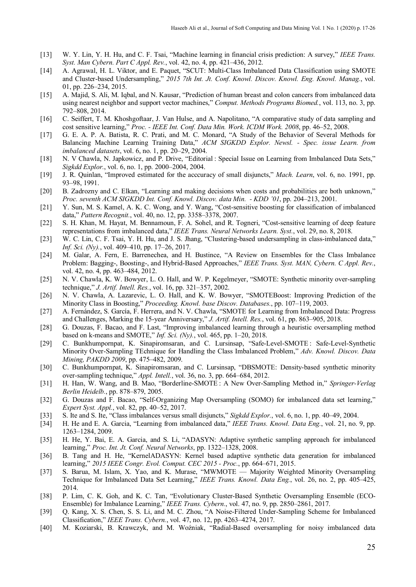- [13] W. Y. Lin, Y. H. Hu, and C. F. Tsai, "Machine learning in financial crisis prediction: A survey," *IEEE Trans. Syst. Man Cybern. Part C Appl. Rev.*, vol. 42, no. 4, pp. 421–436, 2012.
- [14] A. Agrawal, H. L. Viktor, and E. Paquet, "SCUT: Multi-Class Imbalanced Data Classification using SMOTE and Cluster-based Undersampling," *2015 7th Int. Jt. Conf. Knowl. Discov. Knowl. Eng. Knowl. Manag.*, vol. 01, pp. 226–234, 2015.
- [15] A. Majid, S. Ali, M. Iqbal, and N. Kausar, "Prediction of human breast and colon cancers from imbalanced data using nearest neighbor and support vector machines," *Comput. Methods Programs Biomed.*, vol. 113, no. 3, pp. 792–808, 2014.
- [16] C. Seiffert, T. M. Khoshgoftaar, J. Van Hulse, and A. Napolitano, "A comparative study of data sampling and cost sensitive learning," *Proc. - IEEE Int. Conf. Data Min. Work. ICDM Work. 2008*, pp. 46–52, 2008.
- [17] G. E. A. P. A. Batista, R. C. Prati, and M. C. Monard, "A Study of the Behavior of Several Methods for Balancing Machine Learning Training Data," *ACM SIGKDD Explor. Newsl. - Spec. issue Learn. from imbalanced datasets*, vol. 6, no. 1, pp. 20–29, 2004.
- [18] N. V Chawla, N. Japkowicz, and P. Drive, "Editorial : Special Issue on Learning from Imbalanced Data Sets," *Sigkdd Explor.*, vol. 6, no. 1, pp. 2000–2004, 2004.
- [19] J. R. Quinlan, "Improved estimated for the acccuracy of small disjuncts," *Mach. Learn*, vol. 6, no. 1991, pp. 93–98, 1991.
- [20] B. Zadrozny and C. Elkan, "Learning and making decisions when costs and probabilities are both unknown," *Proc. seventh ACM SIGKDD Int. Conf. Knowl. Discov. data Min. - KDD '01*, pp. 204–213, 2001.
- [21] Y. Sun, M. S. Kamel, A. K. C. Wong, and Y. Wang, "Cost-sensitive boosting for classification of imbalanced data," *Pattern Recognit.*, vol. 40, no. 12, pp. 3358–3378, 2007.
- [22] S. H. Khan, M. Hayat, M. Bennamoun, F. A. Sohel, and R. Togneri, "Cost-sensitive learning of deep feature representations from imbalanced data," *IEEE Trans. Neural Networks Learn. Syst.*, vol. 29, no. 8, 2018.
- [23] W. C. Lin, C. F. Tsai, Y. H. Hu, and J. S. Jhang, "Clustering-based undersampling in class-imbalanced data," *Inf. Sci. (Ny).*, vol. 409–410, pp. 17–26, 2017.
- [24] M. Galar, A. Fern, E. Barrenechea, and H. Bustince, "A Review on Ensembles for the Class Imbalance Problem: Bagging-, Boosting-, and Hybrid-Based Approaches," *IEEE Trans. Syst. MAN, Cybern. C Appl. Rev.*, vol. 42, no. 4, pp. 463–484, 2012.
- [25] N. V. Chawla, K. W. Bowyer, L. O. Hall, and W. P. Kegelmeyer, "SMOTE: Synthetic minority over-sampling technique," *J. Artif. Intell. Res.*, vol. 16, pp. 321–357, 2002.
- [26] N. V. Chawla, A. Lazarevic, L. O. Hall, and K. W. Bowyer, "SMOTEBoost: Improving Prediction of the Minority Class in Boosting," *Proceeding. Knowl. base Discov. Databases.*, pp. 107–119, 2003.
- [27] A. Fernández, S. García, F. Herrera, and N. V. Chawla, "SMOTE for Learning from Imbalanced Data: Progress and Challenges, Marking the 15-year Anniversary," *J. Artif. Intell. Res.*, vol. 61, pp. 863–905, 2018.
- [28] G. Douzas, F. Bacao, and F. Last, "Improving imbalanced learning through a heuristic oversampling method based on k-means and SMOTE," *Inf. Sci. (Ny).*, vol. 465, pp. 1–20, 2018.
- [29] C. Bunkhumpornpat, K. Sinapiromsaran, and C. Lursinsap, "Safe-Level-SMOTE : Safe-Level-Synthetic Minority Over-Sampling TEchnique for Handling the Class Imbalanced Problem," *Adv. Knowl. Discov. Data Mining, PAKDD 2009*, pp. 475–482, 2009.
- [30] C. Bunkhumpornpat, K. Sinapiromsaran, and C. Lursinsap, "DBSMOTE: Density-based synthetic minority over-sampling technique," *Appl. Intell.*, vol. 36, no. 3, pp. 664–684, 2012.
- [31] H. Han, W. Wang, and B. Mao, "Borderline-SMOTE : A New Over-Sampling Method in," *Springer-Verlag Berlin Heidelb.*, pp. 878–879, 2005.
- [32] G. Douzas and F. Bacao, "Self-Organizing Map Oversampling (SOMO) for imbalanced data set learning," *Expert Syst. Appl.*, vol. 82, pp. 40–52, 2017.
- [33] S. Ite and S. Ite, "Class imbalances versus small disjuncts," *Sigkdd Explor.*, vol. 6, no. 1, pp. 40–49, 2004.
- [34] H. He and E. A. Garcia, "Learning from imbalanced data," *IEEE Trans. Knowl. Data Eng.*, vol. 21, no. 9, pp. 1263–1284, 2009.
- [35] H. He, Y. Bai, E. A. Garcia, and S. Li, "ADASYN: Adaptive synthetic sampling approach for imbalanced learning," *Proc. Int. Jt. Conf. Neural Networks*, pp. 1322–1328, 2008.
- [36] B. Tang and H. He, "KernelADASYN: Kernel based adaptive synthetic data generation for imbalanced learning," *2015 IEEE Congr. Evol. Comput. CEC 2015 - Proc.*, pp. 664–671, 2015.
- [37] S. Barua, M. Islam, X. Yao, and K. Murase, "MWMOTE Majority Weighted Minority Oversampling Technique for Imbalanced Data Set Learning," *IEEE Trans. Knowl. Data Eng.*, vol. 26, no. 2, pp. 405–425, 2014.
- [38] P. Lim, C. K. Goh, and K. C. Tan, "Evolutionary Cluster-Based Synthetic Oversampling Ensemble (ECO-Ensemble) for Imbalance Learning," *IEEE Trans. Cybern.*, vol. 47, no. 9, pp. 2850–2861, 2017.
- [39] Q. Kang, X. S. Chen, S. S. Li, and M. C. Zhou, "A Noise-Filtered Under-Sampling Scheme for Imbalanced Classification," *IEEE Trans. Cybern.*, vol. 47, no. 12, pp. 4263–4274, 2017.
- [40] M. Koziarski, B. Krawczyk, and M. Woźniak, "Radial-Based oversampling for noisy imbalanced data